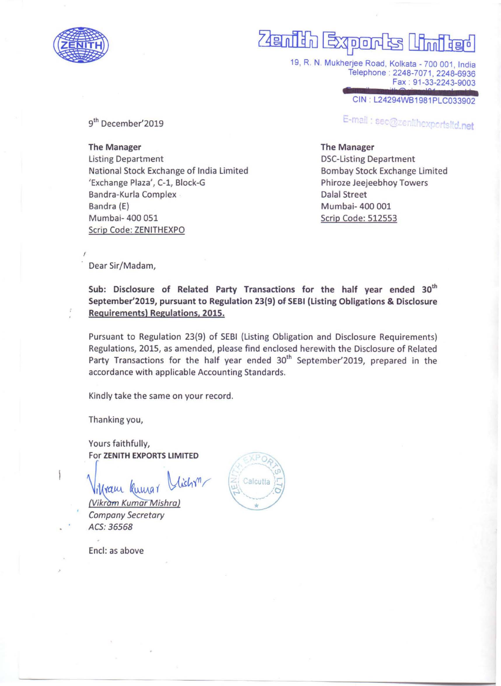

## 74aniah **Jola**

19, R. N. Mukherjee Road, Kolkata - 700 001, India Telephone : 2248-7071, 2248-6936 Fax : 91-33-2243-9003

CIN : L24294WB1981PLC033901

E-mai exportslid.net

9<sup>th</sup> December'2019

The Manager Listing Department National Stock Exchange of India Limited 'Exchange Plaza', C-1, Block-G Bandra-Kurla Complex Bandra (E) Mumbai- 400 051 Scrip Code: ZENITHEXPO

The Manager DSC-Listing Department Bombay Stock Exchange Limited Phiroze Jeejeebhoy Towers Dalal Street Mumbai- 400 001 Scrip Code: 512553

Dear Sir/Madam,

I

Sub: Disclosure of Related Party Transactions for the half year ended 30<sup>th</sup> September'2019, pursuant to Regulation 23(9) of SEBI (Listing Obligations & Disclosure Requirements) Regulations, 2015.

Pursuant to Regulation 23(9) of SEBI (Listing Obligation and Disclosure Requirements) Regulations, 2015, as amended, please find enclosed herewith the Disclosure of Related Party Transactions for the half year ended 30<sup>th</sup> September'2019, prepared in the accordance with applicable Accounting Standards.

Kindly take the same on your record.

Thanking you,

Yours faithfully, For ZENITH EXPORTS LIMITED

 $ich\gamma$ Vikram Kumar Mishra)

Company Secretary *ACS: 36568* 

Encl: as above